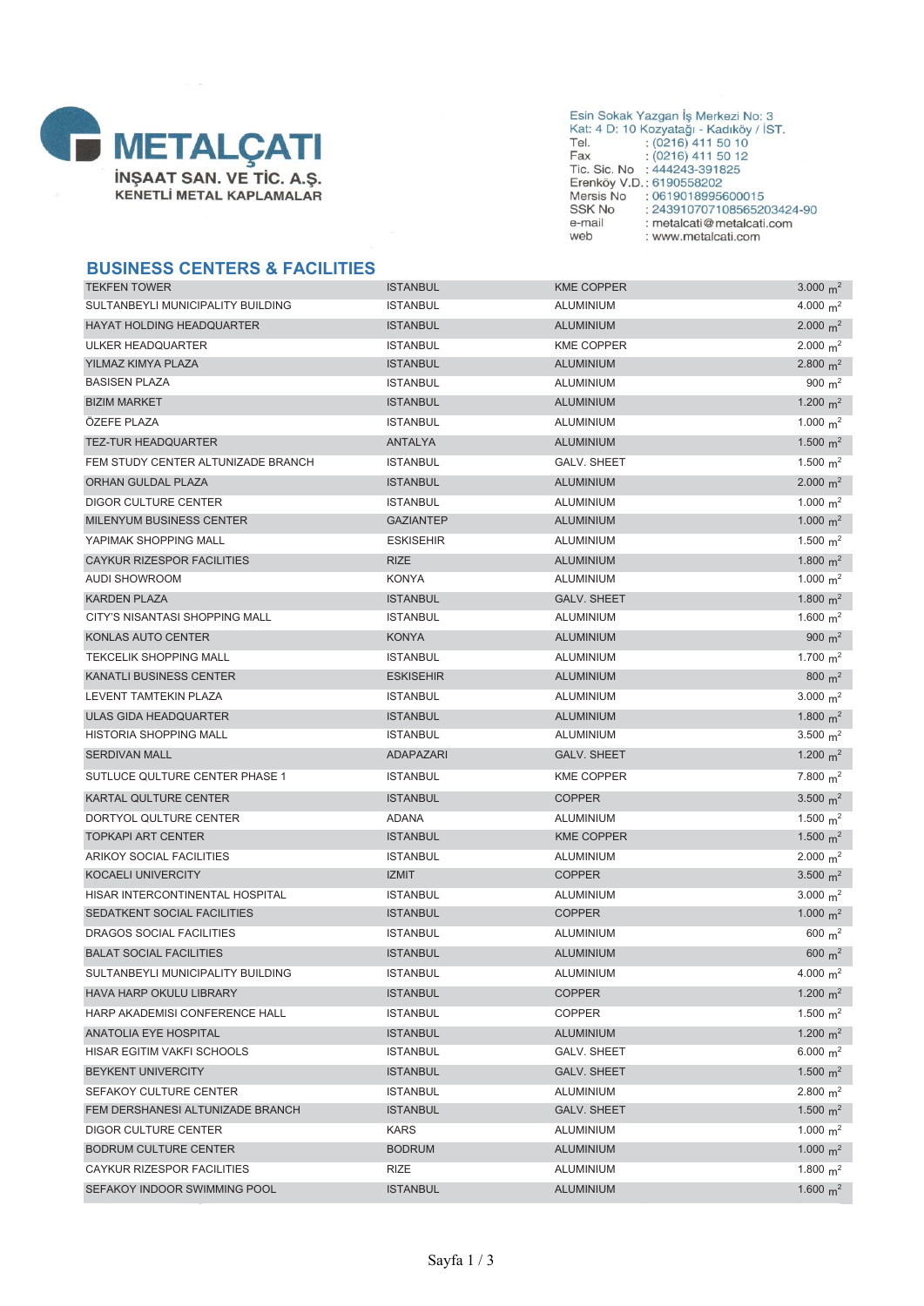

### **BUSINESS CENTERS & FACILITIES**

| <b>TEKFEN TOWER</b>                | <b>ISTANBUL</b>  | <b>KME COPPER</b>  | 3.000 $m^2$ |
|------------------------------------|------------------|--------------------|-------------|
| SULTANBEYLI MUNICIPALITY BUILDING  | <b>ISTANBUL</b>  | ALUMINIUM          | 4.000 $m^2$ |
| <b>HAYAT HOLDING HEADQUARTER</b>   | <b>ISTANBUL</b>  | <b>ALUMINIUM</b>   | 2.000 $m^2$ |
| ULKER HEADQUARTER                  | <b>ISTANBUL</b>  | <b>KME COPPER</b>  | 2.000 $m^2$ |
| YILMAZ KIMYA PLAZA                 | <b>ISTANBUL</b>  | <b>ALUMINIUM</b>   | 2.800 $m^2$ |
| <b>BASISEN PLAZA</b>               | <b>ISTANBUL</b>  | ALUMINIUM          | 900 $m^2$   |
| <b>BIZIM MARKET</b>                | ISTANBUL         | <b>ALUMINIUM</b>   | 1.200 $m^2$ |
| ÖZEFE PLAZA                        | <b>ISTANBUL</b>  | ALUMINIUM          | 1.000 $m^2$ |
| <b>TEZ-TUR HEADQUARTER</b>         | ANTALYA          | <b>ALUMINIUM</b>   | 1.500 $m^2$ |
| FEM STUDY CENTER ALTUNIZADE BRANCH | <b>ISTANBUL</b>  | <b>GALV. SHEET</b> | 1.500 $m^2$ |
| <b>ORHAN GULDAL PLAZA</b>          | ISTANBUL         | <b>ALUMINIUM</b>   | 2.000 $m^2$ |
| <b>DIGOR CULTURE CENTER</b>        | <b>ISTANBUL</b>  | ALUMINIUM          | 1.000 $m^2$ |
| MILENYUM BUSINESS CENTER           | <b>GAZIANTEP</b> | <b>ALUMINIUM</b>   | 1.000 $m^2$ |
| YAPIMAK SHOPPING MALL              | <b>ESKISEHIR</b> | ALUMINIUM          | 1.500 $m^2$ |
| <b>CAYKUR RIZESPOR FACILITIES</b>  | <b>RIZE</b>      | <b>ALUMINIUM</b>   | 1.800 $m^2$ |
| <b>AUDI SHOWROOM</b>               | <b>KONYA</b>     | ALUMINIUM          | 1.000 $m^2$ |
| <b>KARDEN PLAZA</b>                | <b>ISTANBUL</b>  | <b>GALV. SHEET</b> | 1.800 $m^2$ |
| CITY'S NISANTASI SHOPPING MALL     | ISTANBUL         | ALUMINIUM          | 1.600 $m^2$ |
| KONLAS AUTO CENTER                 | <b>KONYA</b>     | <b>ALUMINIUM</b>   | 900 $m^2$   |
| <b>TEKCELIK SHOPPING MALL</b>      | <b>ISTANBUL</b>  | ALUMINIUM          | 1.700 $m^2$ |
| <b>KANATLI BUSINESS CENTER</b>     | <b>ESKISEHIR</b> | <b>ALUMINIUM</b>   | 800 $m^2$   |
| <b>LEVENT TAMTEKIN PLAZA</b>       | <b>ISTANBUL</b>  | <b>ALUMINIUM</b>   | 3.000 $m^2$ |
| <b>ULAS GIDA HEADQUARTER</b>       | <b>ISTANBUL</b>  | <b>ALUMINIUM</b>   | 1.800 $m^2$ |
| <b>HISTORIA SHOPPING MALL</b>      | <b>ISTANBUL</b>  | ALUMINIUM          | 3.500 $m^2$ |
| <b>SERDIVAN MALL</b>               | <b>ADAPAZARI</b> | <b>GALV. SHEET</b> | 1.200 $m^2$ |
| SUTLUCE QULTURE CENTER PHASE 1     | <b>ISTANBUL</b>  | <b>KME COPPER</b>  | 7.800 $m^2$ |
| KARTAL QULTURE CENTER              | <b>ISTANBUL</b>  | <b>COPPER</b>      | 3.500 $m^2$ |
| DORTYOL QULTURE CENTER             | ADANA            | ALUMINIUM          | 1.500 $m^2$ |
| <b>TOPKAPI ART CENTER</b>          | <b>ISTANBUL</b>  | <b>KME COPPER</b>  | 1.500 $m^2$ |
| <b>ARIKOY SOCIAL FACILITIES</b>    | ISTANBUL         | ALUMINIUM          | 2.000 $m^2$ |
| KOCAELI UNIVERCITY                 | <b>IZMIT</b>     | <b>COPPER</b>      | 3.500 $m^2$ |
| HISAR INTERCONTINENTAL HOSPITAL    | <b>ISTANBUL</b>  | ALUMINIUM          | 3.000 $m^2$ |
| SEDATKENT SOCIAL FACILITIES        | ISTANBUL         | <b>COPPER</b>      | 1.000 $m^2$ |
| DRAGOS SOCIAL FACILITIES           | <b>ISTANBUL</b>  | ALUMINIUM          | 600 $m2$    |
| <b>BALAT SOCIAL FACILITIES</b>     | <b>ISTANBUL</b>  | <b>ALUMINIUM</b>   | 600 $m^2$   |
| SULTANBEYLI MUNICIPALITY BUILDING  | <b>ISTANBUL</b>  | ALUMINIUM          | 4.000 $m^2$ |
| HAVA HARP OKULU LIBRARY            | ISTANBUL         | <b>COPPER</b>      | 1.200 $m^2$ |
| HARP AKADEMISI CONFERENCE HALL     | <b>ISTANBUL</b>  | <b>COPPER</b>      | 1.500 $m^2$ |
| ANATOLIA EYE HOSPITAL              | <b>ISTANBUL</b>  | <b>ALUMINIUM</b>   | 1.200 $m^2$ |
| HISAR EGITIM VAKFI SCHOOLS         | ISTANBUL         | <b>GALV. SHEET</b> | 6.000 $m^2$ |
| BEYKENT UNIVERCITY                 | <b>ISTANBUL</b>  | <b>GALV. SHEET</b> | 1.500 $m^2$ |
| SEFAKOY CULTURE CENTER             | <b>ISTANBUL</b>  | ALUMINIUM          | 2.800 $m^2$ |
| FEM DERSHANESI ALTUNIZADE BRANCH   | <b>ISTANBUL</b>  | <b>GALV. SHEET</b> | 1.500 $m^2$ |
| <b>DIGOR CULTURE CENTER</b>        | <b>KARS</b>      | <b>ALUMINIUM</b>   | 1.000 $m^2$ |
| <b>BODRUM CULTURE CENTER</b>       | <b>BODRUM</b>    | <b>ALUMINIUM</b>   | 1.000 $m^2$ |
| CAYKUR RIZESPOR FACILITIES         | RIZE             | ALUMINIUM          | 1.800 $m^2$ |
| SEFAKOY INDOOR SWIMMING POOL       | <b>ISTANBUL</b>  | <b>ALUMINIUM</b>   | 1.600 $m^2$ |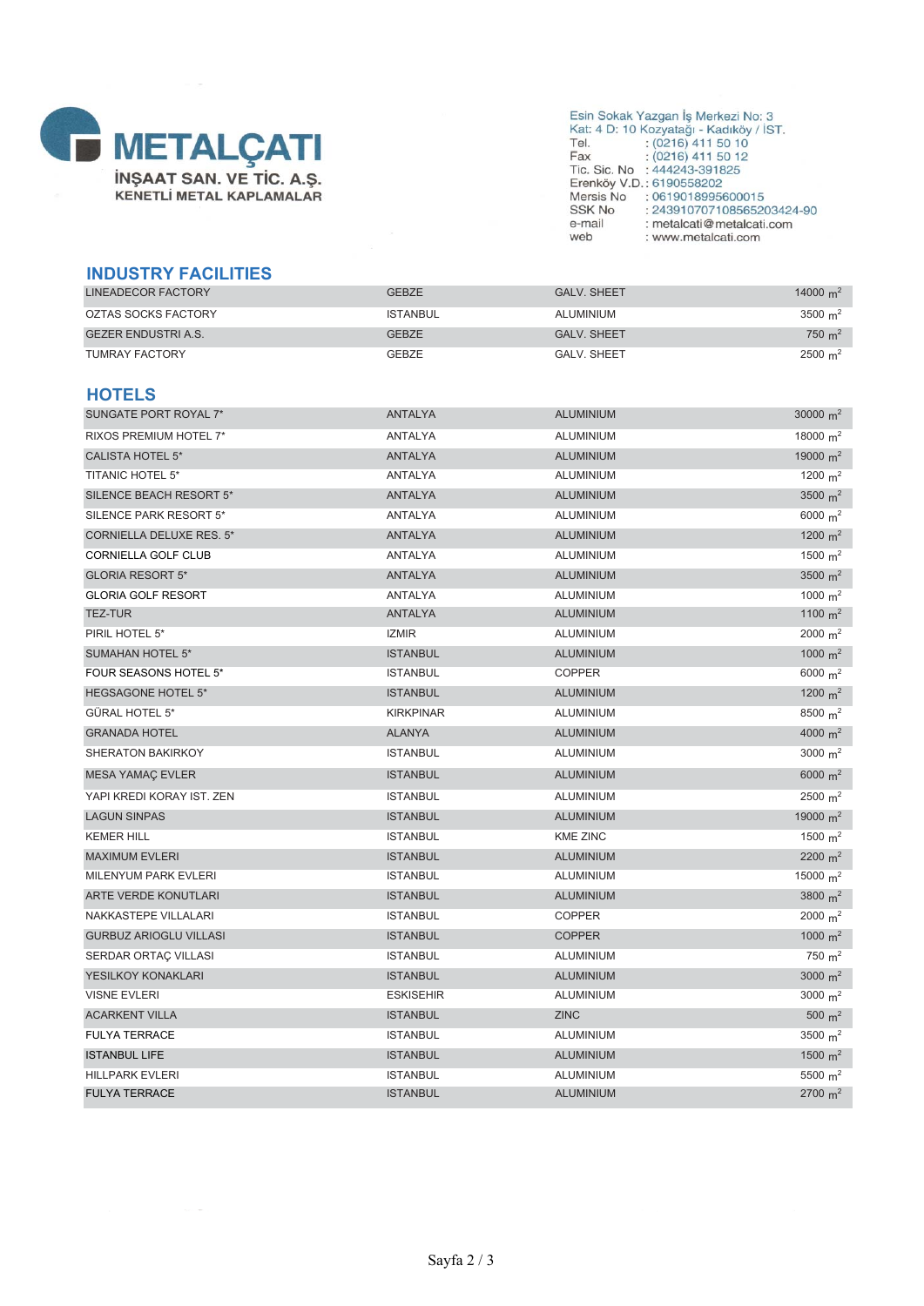

## Esin Sokak Yazgan İş Merkezi No: 3<br>
Kat: 4 D: 10 Kozyatağı - Kadıköy / İST.<br>
Tel. : (0216) 411 50 10<br>
Fax : (0216) 411 50 12<br>
Tic. Sic. No : 444243-391825<br>
Erenköy V.D.: 6190558202<br>
Erenköy V.D.: 6190558202 Mersis No : 0619018995600015<br>SSK No : 0619018995600015<br>SSK No : 243910707108565203424-90 e-mail : metalcati@metalcati.com web : www.metalcati.com

#### **INDUSTRY FACILITIES**

| LINEADECOR FACTORY  | <b>GEBZE</b>    | <b>GALV, SHEET</b> | 14000 $m2$           |
|---------------------|-----------------|--------------------|----------------------|
| OZTAS SOCKS FACTORY | <b>ISTANBUL</b> | ALUMINIUM          | $3500 \; \text{m}^2$ |
| GEZER ENDUSTRI A.S. | <b>GEBZE</b>    | <b>GALV, SHEET</b> | $750 \; \text{m}^2$  |
| TUMRAY FACTORY      | <b>GEBZE</b>    | <b>GALV, SHEET</b> | $2500 \; \text{m}^2$ |

#### **HOTELS**

| SUNGATE PORT ROYAL 7*           | ANTALYA          | <b>ALUMINIUM</b> | 30000 $m^2$        |
|---------------------------------|------------------|------------------|--------------------|
| RIXOS PREMIUM HOTEL 7*          | ANTALYA          | ALUMINIUM        | 18000 $m^2$        |
| <b>CALISTA HOTEL 5*</b>         | <b>ANTALYA</b>   | <b>ALUMINIUM</b> | 19000 $m^2$        |
| <b>TITANIC HOTEL 5*</b>         | ANTALYA          | ALUMINIUM        | 1200 $m^2$         |
| SILENCE BEACH RESORT 5*         | ANTALYA          | <b>ALUMINIUM</b> | 3500 $m^2$         |
| SILENCE PARK RESORT 5*          | ANTALYA          | ALUMINIUM        | 6000 $m^2$         |
| <b>CORNIELLA DELUXE RES. 5*</b> | <b>ANTALYA</b>   | <b>ALUMINIUM</b> | 1200 $m^2$         |
| CORNIELLA GOLF CLUB             | ANTALYA          | <b>ALUMINIUM</b> | 1500 $m2$          |
| <b>GLORIA RESORT 5*</b>         | <b>ANTALYA</b>   | <b>ALUMINIUM</b> | 3500 $m2$          |
| <b>GLORIA GOLF RESORT</b>       | ANTALYA          | ALUMINIUM        | 1000 $m^2$         |
| <b>TEZ-TUR</b>                  | <b>ANTALYA</b>   | <b>ALUMINIUM</b> | 1100 $m^2$         |
| PIRIL HOTEL 5*                  | <b>IZMIR</b>     | ALUMINIUM        | $2000 \text{ m}^2$ |
| <b>SUMAHAN HOTEL 5*</b>         | <b>ISTANBUL</b>  | <b>ALUMINIUM</b> | 1000 $m^2$         |
| FOUR SEASONS HOTEL 5*           | <b>ISTANBUL</b>  | <b>COPPER</b>    | 6000 $m^2$         |
| <b>HEGSAGONE HOTEL 5*</b>       | <b>ISTANBUL</b>  | <b>ALUMINIUM</b> | 1200 $m^2$         |
| GÜRAL HOTEL 5*                  | <b>KIRKPINAR</b> | ALUMINIUM        | 8500 $m^2$         |
| <b>GRANADA HOTEL</b>            | <b>ALANYA</b>    | <b>ALUMINIUM</b> | 4000 $m^2$         |
| SHERATON BAKIRKOY               | <b>ISTANBUL</b>  | ALUMINIUM        | 3000 $m2$          |
| <b>MESA YAMAÇ EVLER</b>         | <b>ISTANBUL</b>  | <b>ALUMINIUM</b> | 6000 $m2$          |
| YAPI KREDI KORAY IST. ZEN       | <b>ISTANBUL</b>  | ALUMINIUM        | $2500 \text{ m}^2$ |
| <b>LAGUN SINPAS</b>             | <b>ISTANBUL</b>  | <b>ALUMINIUM</b> | 19000 $m^2$        |
| <b>KEMER HILL</b>               | <b>ISTANBUL</b>  | <b>KME ZINC</b>  | 1500 $m^2$         |
| <b>MAXIMUM EVLERI</b>           | <b>ISTANBUL</b>  | <b>ALUMINIUM</b> | 2200 $m^2$         |
| <b>MILENYUM PARK EVLERI</b>     | <b>ISTANBUL</b>  | ALUMINIUM        | 15000 $m^2$        |
| ARTE VERDE KONUTLARI            | <b>ISTANBUL</b>  | <b>ALUMINIUM</b> | 3800 $m^2$         |
| NAKKASTEPE VILLALARI            | <b>ISTANBUL</b>  | <b>COPPER</b>    | 2000 $m^2$         |
| <b>GURBUZ ARIOGLU VILLASI</b>   | <b>ISTANBUL</b>  | <b>COPPER</b>    | 1000 $m^2$         |
| SERDAR ORTAÇ VILLASI            | <b>ISTANBUL</b>  | ALUMINIUM        | 750 $m^2$          |
| YESILKOY KONAKLARI              | <b>ISTANBUL</b>  | <b>ALUMINIUM</b> | 3000 $m2$          |
| <b>VISNE EVLERI</b>             | ESKISEHIR        | <b>ALUMINIUM</b> | 3000 $m2$          |
| <b>ACARKENT VILLA</b>           | <b>ISTANBUL</b>  | <b>ZINC</b>      | 500 $m^2$          |
| <b>FULYA TERRACE</b>            | <b>ISTANBUL</b>  | ALUMINIUM        | 3500 $m2$          |
| <b>ISTANBUL LIFE</b>            | <b>ISTANBUL</b>  | <b>ALUMINIUM</b> | 1500 $m^2$         |
| <b>HILLPARK EVLERI</b>          | <b>ISTANBUL</b>  | ALUMINIUM        | 5500 $m2$          |
| <b>FULYA TERRACE</b>            | <b>ISTANBUL</b>  | <b>ALUMINIUM</b> | $2700 \text{ m}^2$ |